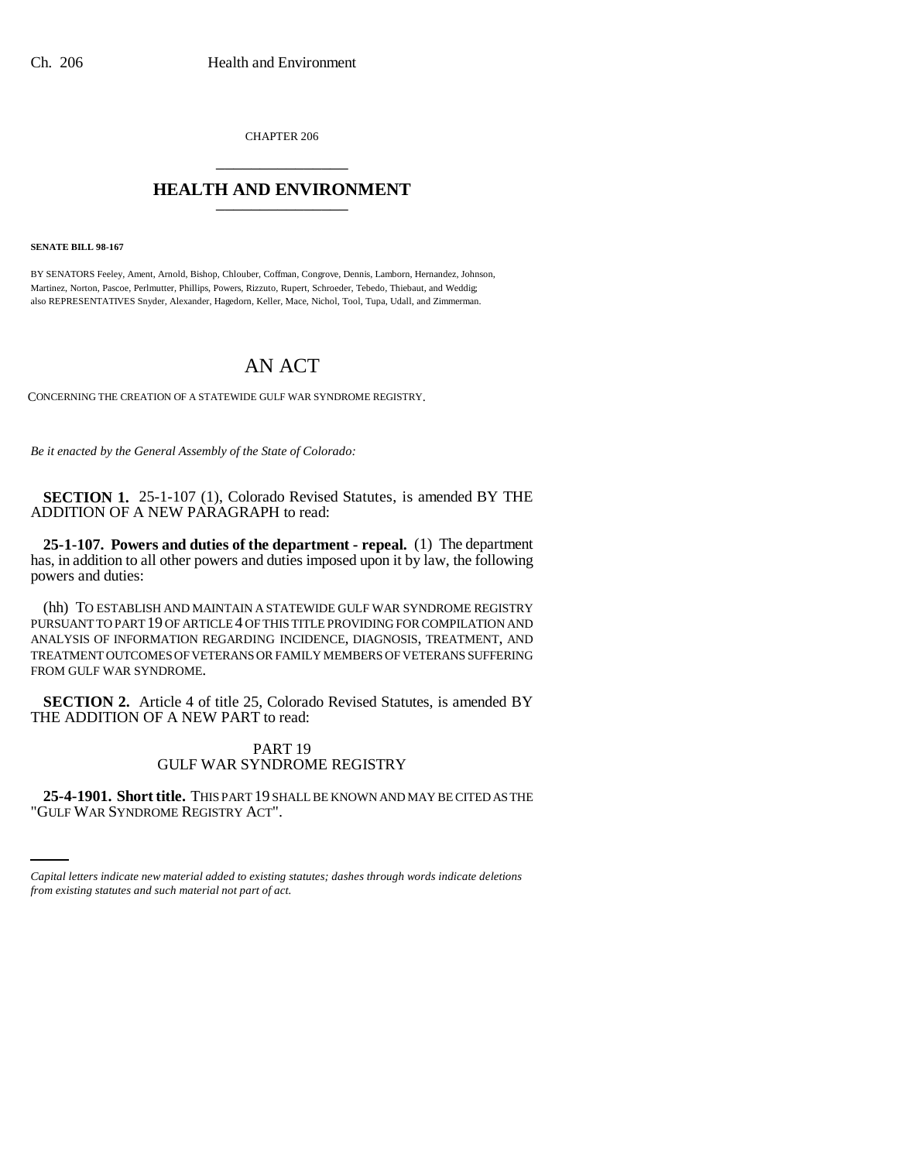CHAPTER 206 \_\_\_\_\_\_\_\_\_\_\_\_\_\_\_

## **HEALTH AND ENVIRONMENT** \_\_\_\_\_\_\_\_\_\_\_\_\_\_\_

**SENATE BILL 98-167**

BY SENATORS Feeley, Ament, Arnold, Bishop, Chlouber, Coffman, Congrove, Dennis, Lamborn, Hernandez, Johnson, Martinez, Norton, Pascoe, Perlmutter, Phillips, Powers, Rizzuto, Rupert, Schroeder, Tebedo, Thiebaut, and Weddig; also REPRESENTATIVES Snyder, Alexander, Hagedorn, Keller, Mace, Nichol, Tool, Tupa, Udall, and Zimmerman.

## AN ACT

CONCERNING THE CREATION OF A STATEWIDE GULF WAR SYNDROME REGISTRY.

*Be it enacted by the General Assembly of the State of Colorado:*

**SECTION 1.** 25-1-107 (1), Colorado Revised Statutes, is amended BY THE ADDITION OF A NEW PARAGRAPH to read:

**25-1-107. Powers and duties of the department - repeal.** (1) The department has, in addition to all other powers and duties imposed upon it by law, the following powers and duties:

(hh) TO ESTABLISH AND MAINTAIN A STATEWIDE GULF WAR SYNDROME REGISTRY PURSUANT TO PART 19 OF ARTICLE 4 OF THIS TITLE PROVIDING FOR COMPILATION AND ANALYSIS OF INFORMATION REGARDING INCIDENCE, DIAGNOSIS, TREATMENT, AND TREATMENT OUTCOMES OF VETERANS OR FAMILY MEMBERS OF VETERANS SUFFERING FROM GULF WAR SYNDROME.

**SECTION 2.** Article 4 of title 25, Colorado Revised Statutes, is amended BY THE ADDITION OF A NEW PART to read:

## PART 19 GULF WAR SYNDROME REGISTRY

 **25-4-1901. Short title.** THIS PART 19 SHALL BE KNOWN AND MAY BE CITED AS THE "GULF WAR SYNDROME REGISTRY ACT".

*Capital letters indicate new material added to existing statutes; dashes through words indicate deletions from existing statutes and such material not part of act.*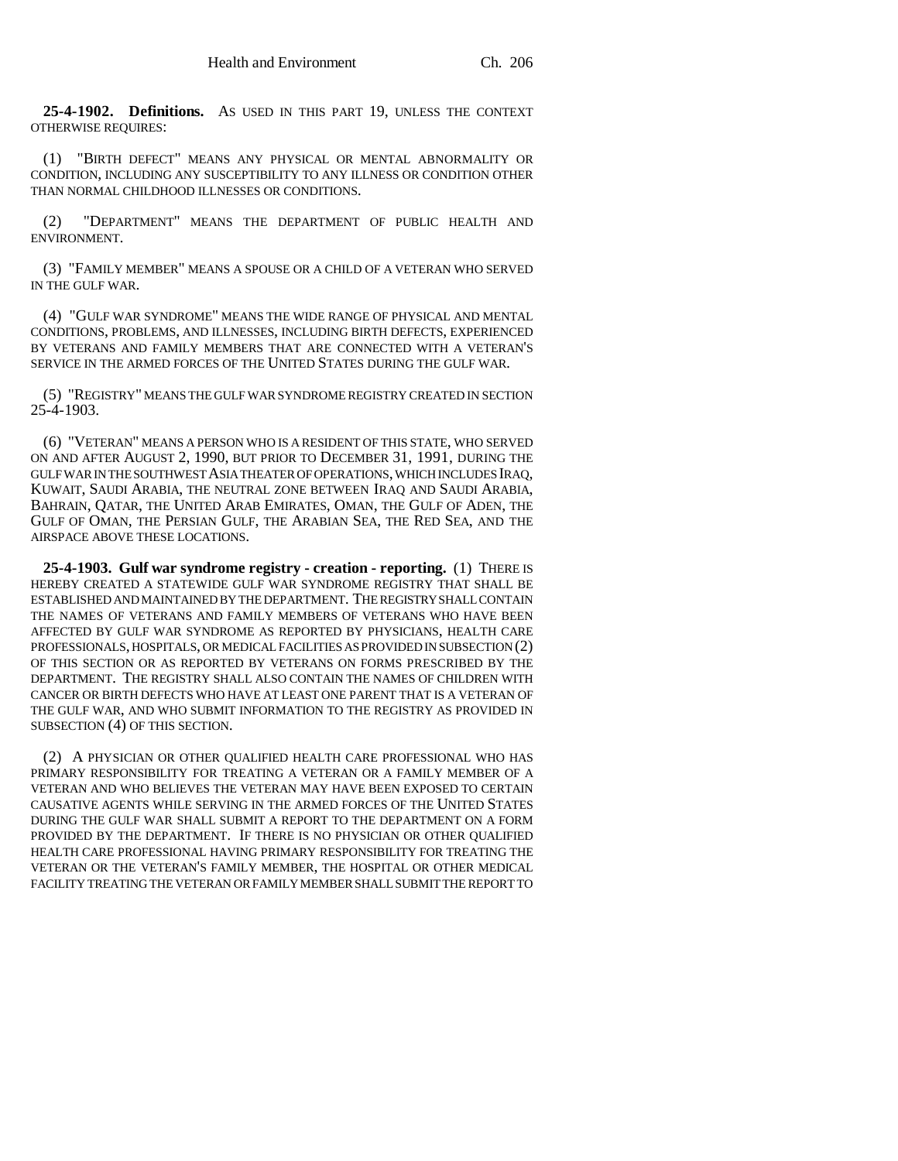**25-4-1902. Definitions.** AS USED IN THIS PART 19, UNLESS THE CONTEXT OTHERWISE REQUIRES:

(1) "BIRTH DEFECT" MEANS ANY PHYSICAL OR MENTAL ABNORMALITY OR CONDITION, INCLUDING ANY SUSCEPTIBILITY TO ANY ILLNESS OR CONDITION OTHER THAN NORMAL CHILDHOOD ILLNESSES OR CONDITIONS.

(2) "DEPARTMENT" MEANS THE DEPARTMENT OF PUBLIC HEALTH AND ENVIRONMENT.

(3) "FAMILY MEMBER" MEANS A SPOUSE OR A CHILD OF A VETERAN WHO SERVED IN THE GULF WAR.

(4) "GULF WAR SYNDROME" MEANS THE WIDE RANGE OF PHYSICAL AND MENTAL CONDITIONS, PROBLEMS, AND ILLNESSES, INCLUDING BIRTH DEFECTS, EXPERIENCED BY VETERANS AND FAMILY MEMBERS THAT ARE CONNECTED WITH A VETERAN'S SERVICE IN THE ARMED FORCES OF THE UNITED STATES DURING THE GULF WAR.

(5) "REGISTRY" MEANS THE GULF WAR SYNDROME REGISTRY CREATED IN SECTION 25-4-1903.

(6) "VETERAN" MEANS A PERSON WHO IS A RESIDENT OF THIS STATE, WHO SERVED ON AND AFTER AUGUST 2, 1990, BUT PRIOR TO DECEMBER 31, 1991, DURING THE GULF WAR IN THE SOUTHWEST ASIA THEATER OF OPERATIONS, WHICH INCLUDES IRAQ, KUWAIT, SAUDI ARABIA, THE NEUTRAL ZONE BETWEEN IRAQ AND SAUDI ARABIA, BAHRAIN, QATAR, THE UNITED ARAB EMIRATES, OMAN, THE GULF OF ADEN, THE GULF OF OMAN, THE PERSIAN GULF, THE ARABIAN SEA, THE RED SEA, AND THE AIRSPACE ABOVE THESE LOCATIONS.

**25-4-1903. Gulf war syndrome registry - creation - reporting.** (1) THERE IS HEREBY CREATED A STATEWIDE GULF WAR SYNDROME REGISTRY THAT SHALL BE ESTABLISHED AND MAINTAINED BY THE DEPARTMENT. THE REGISTRY SHALL CONTAIN THE NAMES OF VETERANS AND FAMILY MEMBERS OF VETERANS WHO HAVE BEEN AFFECTED BY GULF WAR SYNDROME AS REPORTED BY PHYSICIANS, HEALTH CARE PROFESSIONALS, HOSPITALS, OR MEDICAL FACILITIES AS PROVIDED IN SUBSECTION (2) OF THIS SECTION OR AS REPORTED BY VETERANS ON FORMS PRESCRIBED BY THE DEPARTMENT. THE REGISTRY SHALL ALSO CONTAIN THE NAMES OF CHILDREN WITH CANCER OR BIRTH DEFECTS WHO HAVE AT LEAST ONE PARENT THAT IS A VETERAN OF THE GULF WAR, AND WHO SUBMIT INFORMATION TO THE REGISTRY AS PROVIDED IN SUBSECTION (4) OF THIS SECTION.

(2) A PHYSICIAN OR OTHER QUALIFIED HEALTH CARE PROFESSIONAL WHO HAS PRIMARY RESPONSIBILITY FOR TREATING A VETERAN OR A FAMILY MEMBER OF A VETERAN AND WHO BELIEVES THE VETERAN MAY HAVE BEEN EXPOSED TO CERTAIN CAUSATIVE AGENTS WHILE SERVING IN THE ARMED FORCES OF THE UNITED STATES DURING THE GULF WAR SHALL SUBMIT A REPORT TO THE DEPARTMENT ON A FORM PROVIDED BY THE DEPARTMENT. IF THERE IS NO PHYSICIAN OR OTHER QUALIFIED HEALTH CARE PROFESSIONAL HAVING PRIMARY RESPONSIBILITY FOR TREATING THE VETERAN OR THE VETERAN'S FAMILY MEMBER, THE HOSPITAL OR OTHER MEDICAL FACILITY TREATING THE VETERAN OR FAMILY MEMBER SHALL SUBMIT THE REPORT TO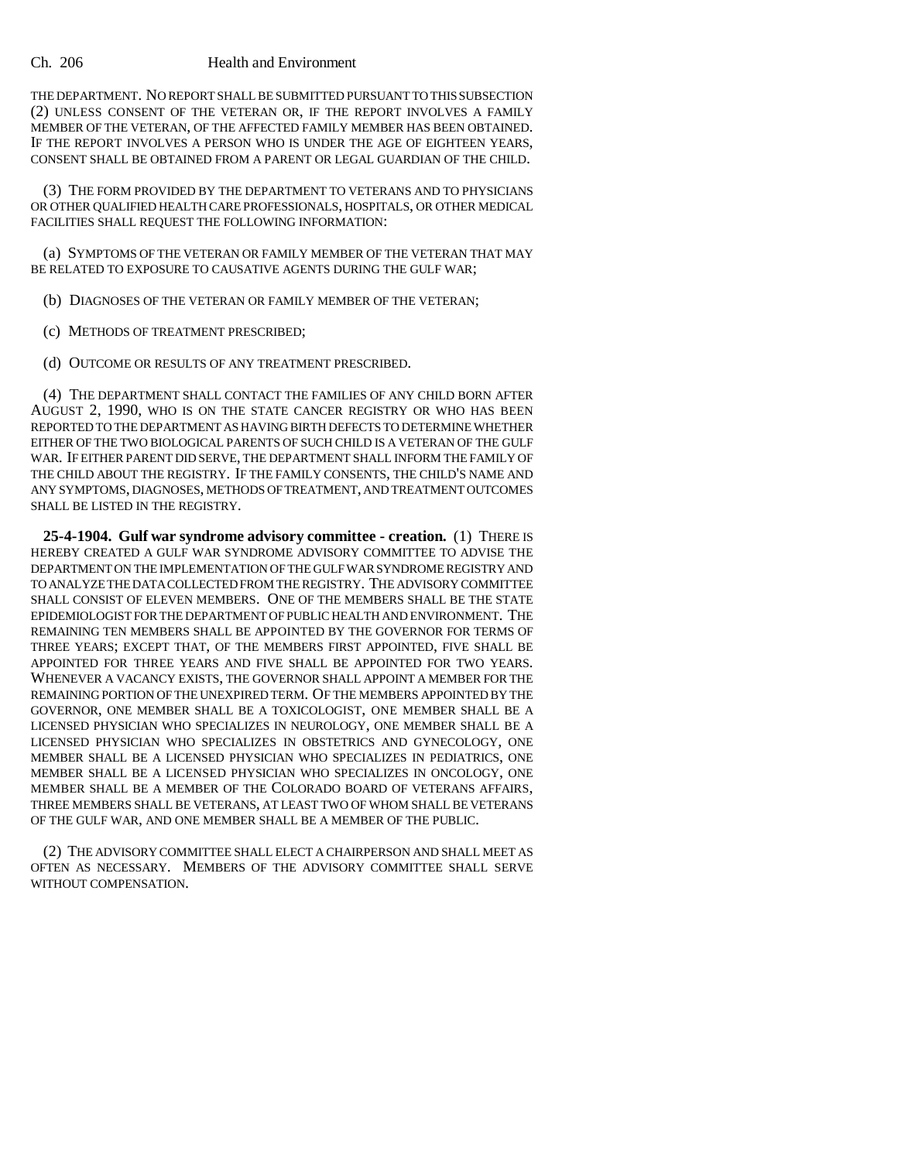## Ch. 206 Health and Environment

THE DEPARTMENT. NO REPORT SHALL BE SUBMITTED PURSUANT TO THIS SUBSECTION (2) UNLESS CONSENT OF THE VETERAN OR, IF THE REPORT INVOLVES A FAMILY MEMBER OF THE VETERAN, OF THE AFFECTED FAMILY MEMBER HAS BEEN OBTAINED. IF THE REPORT INVOLVES A PERSON WHO IS UNDER THE AGE OF EIGHTEEN YEARS, CONSENT SHALL BE OBTAINED FROM A PARENT OR LEGAL GUARDIAN OF THE CHILD.

(3) THE FORM PROVIDED BY THE DEPARTMENT TO VETERANS AND TO PHYSICIANS OR OTHER QUALIFIED HEALTH CARE PROFESSIONALS, HOSPITALS, OR OTHER MEDICAL FACILITIES SHALL REQUEST THE FOLLOWING INFORMATION:

(a) SYMPTOMS OF THE VETERAN OR FAMILY MEMBER OF THE VETERAN THAT MAY BE RELATED TO EXPOSURE TO CAUSATIVE AGENTS DURING THE GULF WAR;

(b) DIAGNOSES OF THE VETERAN OR FAMILY MEMBER OF THE VETERAN;

(c) METHODS OF TREATMENT PRESCRIBED;

(d) OUTCOME OR RESULTS OF ANY TREATMENT PRESCRIBED.

(4) THE DEPARTMENT SHALL CONTACT THE FAMILIES OF ANY CHILD BORN AFTER AUGUST 2, 1990, WHO IS ON THE STATE CANCER REGISTRY OR WHO HAS BEEN REPORTED TO THE DEPARTMENT AS HAVING BIRTH DEFECTS TO DETERMINE WHETHER EITHER OF THE TWO BIOLOGICAL PARENTS OF SUCH CHILD IS A VETERAN OF THE GULF WAR. IF EITHER PARENT DID SERVE, THE DEPARTMENT SHALL INFORM THE FAMILY OF THE CHILD ABOUT THE REGISTRY. IF THE FAMILY CONSENTS, THE CHILD'S NAME AND ANY SYMPTOMS, DIAGNOSES, METHODS OF TREATMENT, AND TREATMENT OUTCOMES SHALL BE LISTED IN THE REGISTRY.

**25-4-1904. Gulf war syndrome advisory committee - creation.** (1) THERE IS HEREBY CREATED A GULF WAR SYNDROME ADVISORY COMMITTEE TO ADVISE THE DEPARTMENT ON THE IMPLEMENTATION OF THE GULF WAR SYNDROME REGISTRY AND TO ANALYZE THE DATA COLLECTED FROM THE REGISTRY. THE ADVISORY COMMITTEE SHALL CONSIST OF ELEVEN MEMBERS. ONE OF THE MEMBERS SHALL BE THE STATE EPIDEMIOLOGIST FOR THE DEPARTMENT OF PUBLIC HEALTH AND ENVIRONMENT. THE REMAINING TEN MEMBERS SHALL BE APPOINTED BY THE GOVERNOR FOR TERMS OF THREE YEARS; EXCEPT THAT, OF THE MEMBERS FIRST APPOINTED, FIVE SHALL BE APPOINTED FOR THREE YEARS AND FIVE SHALL BE APPOINTED FOR TWO YEARS. WHENEVER A VACANCY EXISTS, THE GOVERNOR SHALL APPOINT A MEMBER FOR THE REMAINING PORTION OF THE UNEXPIRED TERM. OF THE MEMBERS APPOINTED BY THE GOVERNOR, ONE MEMBER SHALL BE A TOXICOLOGIST, ONE MEMBER SHALL BE A LICENSED PHYSICIAN WHO SPECIALIZES IN NEUROLOGY, ONE MEMBER SHALL BE A LICENSED PHYSICIAN WHO SPECIALIZES IN OBSTETRICS AND GYNECOLOGY, ONE MEMBER SHALL BE A LICENSED PHYSICIAN WHO SPECIALIZES IN PEDIATRICS, ONE MEMBER SHALL BE A LICENSED PHYSICIAN WHO SPECIALIZES IN ONCOLOGY, ONE MEMBER SHALL BE A MEMBER OF THE COLORADO BOARD OF VETERANS AFFAIRS, THREE MEMBERS SHALL BE VETERANS, AT LEAST TWO OF WHOM SHALL BE VETERANS OF THE GULF WAR, AND ONE MEMBER SHALL BE A MEMBER OF THE PUBLIC.

(2) THE ADVISORY COMMITTEE SHALL ELECT A CHAIRPERSON AND SHALL MEET AS OFTEN AS NECESSARY. MEMBERS OF THE ADVISORY COMMITTEE SHALL SERVE WITHOUT COMPENSATION.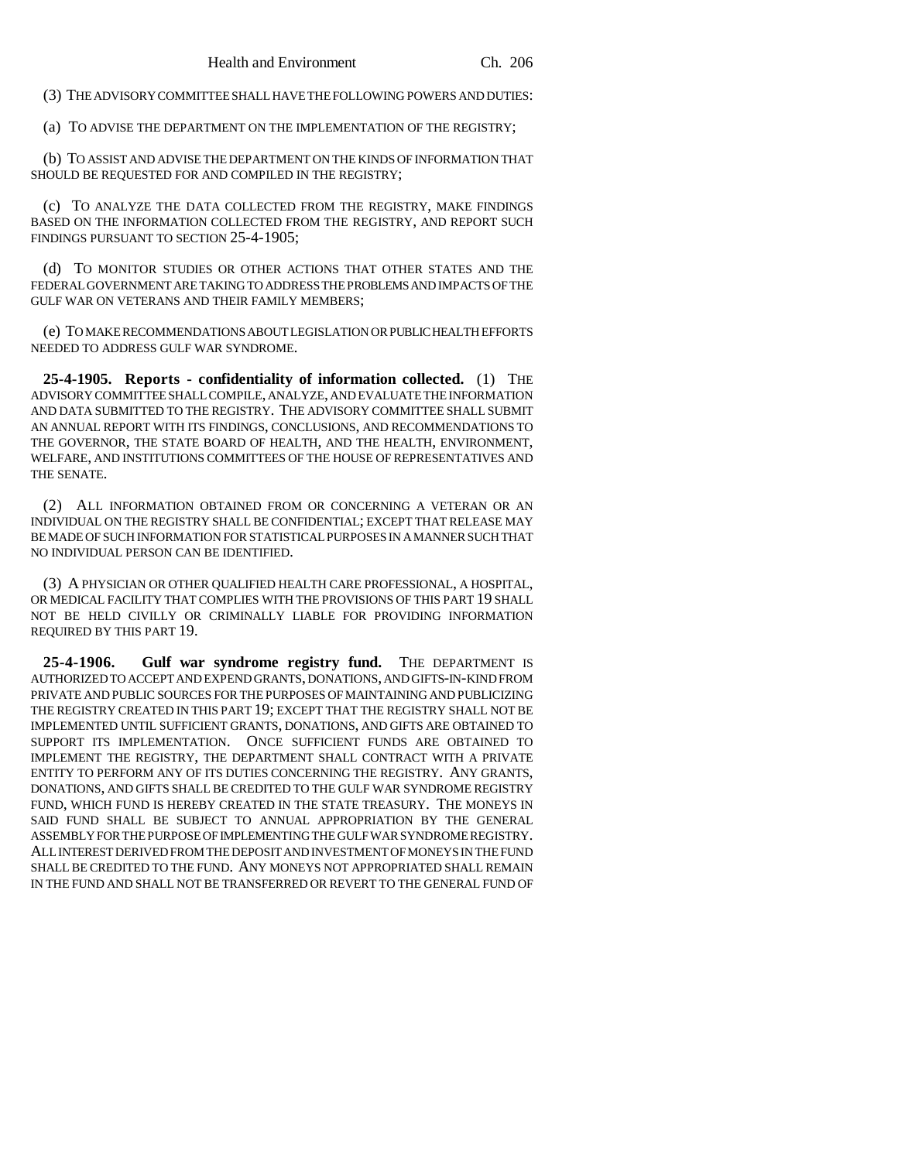(3) THE ADVISORY COMMITTEE SHALL HAVE THE FOLLOWING POWERS AND DUTIES:

(a) TO ADVISE THE DEPARTMENT ON THE IMPLEMENTATION OF THE REGISTRY;

(b) TO ASSIST AND ADVISE THE DEPARTMENT ON THE KINDS OF INFORMATION THAT SHOULD BE REQUESTED FOR AND COMPILED IN THE REGISTRY;

(c) TO ANALYZE THE DATA COLLECTED FROM THE REGISTRY, MAKE FINDINGS BASED ON THE INFORMATION COLLECTED FROM THE REGISTRY, AND REPORT SUCH FINDINGS PURSUANT TO SECTION 25-4-1905;

(d) TO MONITOR STUDIES OR OTHER ACTIONS THAT OTHER STATES AND THE FEDERAL GOVERNMENT ARE TAKING TO ADDRESS THE PROBLEMS AND IMPACTS OF THE GULF WAR ON VETERANS AND THEIR FAMILY MEMBERS;

(e) TO MAKE RECOMMENDATIONS ABOUT LEGISLATION OR PUBLIC HEALTH EFFORTS NEEDED TO ADDRESS GULF WAR SYNDROME.

**25-4-1905. Reports - confidentiality of information collected.** (1) THE ADVISORY COMMITTEE SHALL COMPILE, ANALYZE, AND EVALUATE THE INFORMATION AND DATA SUBMITTED TO THE REGISTRY. THE ADVISORY COMMITTEE SHALL SUBMIT AN ANNUAL REPORT WITH ITS FINDINGS, CONCLUSIONS, AND RECOMMENDATIONS TO THE GOVERNOR, THE STATE BOARD OF HEALTH, AND THE HEALTH, ENVIRONMENT, WELFARE, AND INSTITUTIONS COMMITTEES OF THE HOUSE OF REPRESENTATIVES AND THE SENATE.

(2) ALL INFORMATION OBTAINED FROM OR CONCERNING A VETERAN OR AN INDIVIDUAL ON THE REGISTRY SHALL BE CONFIDENTIAL; EXCEPT THAT RELEASE MAY BE MADE OF SUCH INFORMATION FOR STATISTICAL PURPOSES IN A MANNER SUCH THAT NO INDIVIDUAL PERSON CAN BE IDENTIFIED.

(3) A PHYSICIAN OR OTHER QUALIFIED HEALTH CARE PROFESSIONAL, A HOSPITAL, OR MEDICAL FACILITY THAT COMPLIES WITH THE PROVISIONS OF THIS PART 19 SHALL NOT BE HELD CIVILLY OR CRIMINALLY LIABLE FOR PROVIDING INFORMATION REQUIRED BY THIS PART 19.

**25-4-1906. Gulf war syndrome registry fund.** THE DEPARTMENT IS AUTHORIZED TO ACCEPT AND EXPEND GRANTS, DONATIONS, AND GIFTS-IN-KIND FROM PRIVATE AND PUBLIC SOURCES FOR THE PURPOSES OF MAINTAINING AND PUBLICIZING THE REGISTRY CREATED IN THIS PART 19; EXCEPT THAT THE REGISTRY SHALL NOT BE IMPLEMENTED UNTIL SUFFICIENT GRANTS, DONATIONS, AND GIFTS ARE OBTAINED TO SUPPORT ITS IMPLEMENTATION. ONCE SUFFICIENT FUNDS ARE OBTAINED TO IMPLEMENT THE REGISTRY, THE DEPARTMENT SHALL CONTRACT WITH A PRIVATE ENTITY TO PERFORM ANY OF ITS DUTIES CONCERNING THE REGISTRY. ANY GRANTS, DONATIONS, AND GIFTS SHALL BE CREDITED TO THE GULF WAR SYNDROME REGISTRY FUND, WHICH FUND IS HEREBY CREATED IN THE STATE TREASURY. THE MONEYS IN SAID FUND SHALL BE SUBJECT TO ANNUAL APPROPRIATION BY THE GENERAL ASSEMBLY FOR THE PURPOSE OF IMPLEMENTING THE GULF WAR SYNDROME REGISTRY. ALL INTEREST DERIVED FROM THE DEPOSIT AND INVESTMENT OF MONEYS IN THE FUND SHALL BE CREDITED TO THE FUND. ANY MONEYS NOT APPROPRIATED SHALL REMAIN IN THE FUND AND SHALL NOT BE TRANSFERRED OR REVERT TO THE GENERAL FUND OF